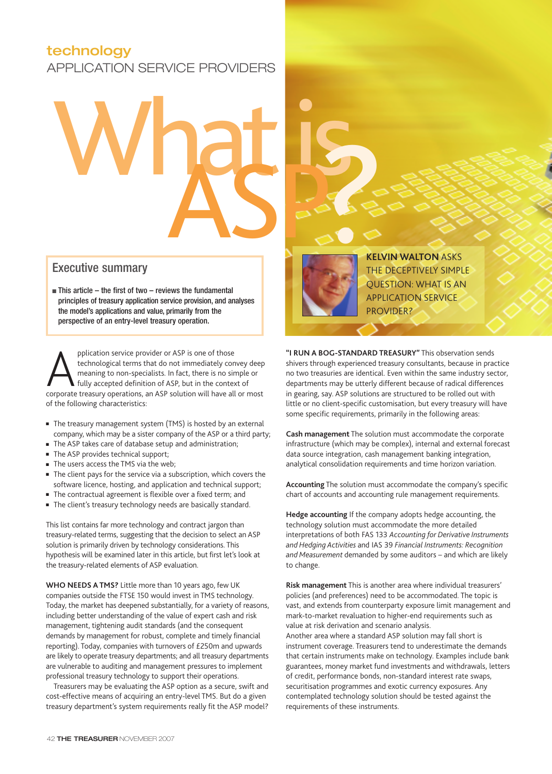# **technology**

APPLICATION SERVICE PROVIDERS

# What is ASP?

# Executive summary

 $\blacksquare$  This article – the first of two – reviews the fundamental principles of treasury application service provision, and analyses the model's applications and value, primarily from the perspective of an entry-level treasury operation.

pplication service provider or ASP is one of those<br>technological terms that do not immediately convey deep<br>meaning to non-specialists. In fact, there is no simple or<br>fully accepted definition of ASP, but in the context of<br> technological terms that do not immediately convey deep meaning to non-specialists. In fact, there is no simple or fully accepted definition of ASP, but in the context of of the following characteristics:

- The treasury management system (TMS) is hosted by an external company, which may be a sister company of the ASP or a third party;
- The ASP takes care of database setup and administration;
- The ASP provides technical support;
- The users access the TMS via the web;
- The client pays for the service via a subscription, which covers the software licence, hosting, and application and technical support;
- The contractual agreement is flexible over a fixed term; and
- The client's treasury technology needs are basically standard.

This list contains far more technology and contract jargon than treasury-related terms, suggesting that the decision to select an ASP solution is primarily driven by technology considerations. This hypothesis will be examined later in this article, but first let's look at the treasury-related elements of ASP evaluation.

**WHO NEEDS A TMS?** Little more than 10 years ago, few UK companies outside the FTSE 150 would invest in TMS technology. Today, the market has deepened substantially, for a variety of reasons, including better understanding of the value of expert cash and risk management, tightening audit standards (and the consequent demands by management for robust, complete and timely financial reporting). Today, companies with turnovers of £250m and upwards are likely to operate treasury departments; and all treasury departments are vulnerable to auditing and management pressures to implement professional treasury technology to support their operations.

Treasurers may be evaluating the ASP option as a secure, swift and cost-effective means of acquiring an entry-level TMS. But do a given treasury department's system requirements really fit the ASP model?



**KELVIN WALTON** ASKS THE DECEPTIVELY SIMPLE QUESTION: WHAT IS AN APPLICATION SERVICE PROVIDER?

**"I RUN A BOG-STANDARD TREASURY"** This observation sends shivers through experienced treasury consultants, because in practice no two treasuries are identical. Even within the same industry sector, departments may be utterly different because of radical differences in gearing, say. ASP solutions are structured to be rolled out with little or no client-specific customisation, but every treasury will have some specific requirements, primarily in the following areas:

**Cash management** The solution must accommodate the corporate infrastructure (which may be complex), internal and external forecast data source integration, cash management banking integration, analytical consolidation requirements and time horizon variation.

**Accounting** The solution must accommodate the company's specific chart of accounts and accounting rule management requirements.

**Hedge accounting** If the company adopts hedge accounting, the technology solution must accommodate the more detailed interpretations of both FAS 133 *Accounting for Derivative Instruments and Hedging Activities* and IAS 39 *Financial Instruments: Recognition and Measurement* demanded by some auditors – and which are likely to change.

**Risk management** This is another area where individual treasurers' policies (and preferences) need to be accommodated. The topic is vast, and extends from counterparty exposure limit management and mark-to-market revaluation to higher-end requirements such as value at risk derivation and scenario analysis. Another area where a standard ASP solution may fall short is instrument coverage. Treasurers tend to underestimate the demands that certain instruments make on technology. Examples include bank guarantees, money market fund investments and withdrawals, letters of credit, performance bonds, non-standard interest rate swaps, securitisation programmes and exotic currency exposures. Any contemplated technology solution should be tested against the requirements of these instruments.